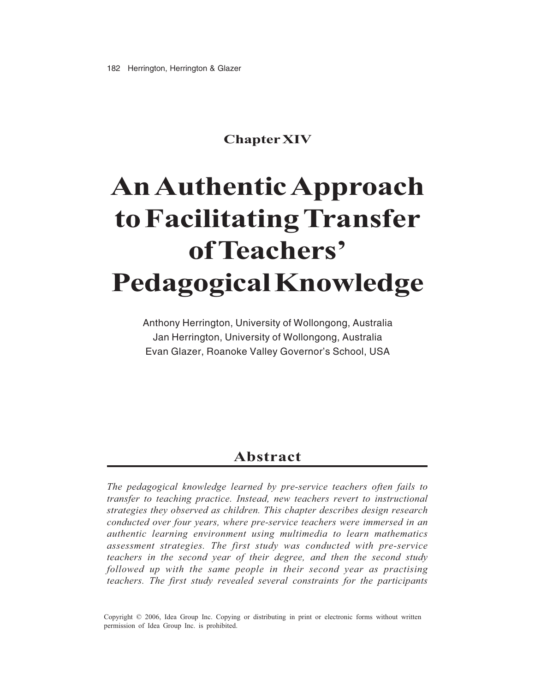## **Chapter XIV**

# **An Authentic Approach to Facilitating Transfer of Teachers' Pedagogical Knowledge**

Anthony Herrington, University of Wollongong, Australia Jan Herrington, University of Wollongong, Australia Evan Glazer, Roanoke Valley Governor's School, USA

# **Abstract**

*The pedagogical knowledge learned by pre-service teachers often fails to transfer to teaching practice. Instead, new teachers revert to instructional strategies they observed as children. This chapter describes design research conducted over four years, where pre-service teachers were immersed in an authentic learning environment using multimedia to learn mathematics assessment strategies. The first study was conducted with pre-service teachers in the second year of their degree, and then the second study followed up with the same people in their second year as practising teachers. The first study revealed several constraints for the participants*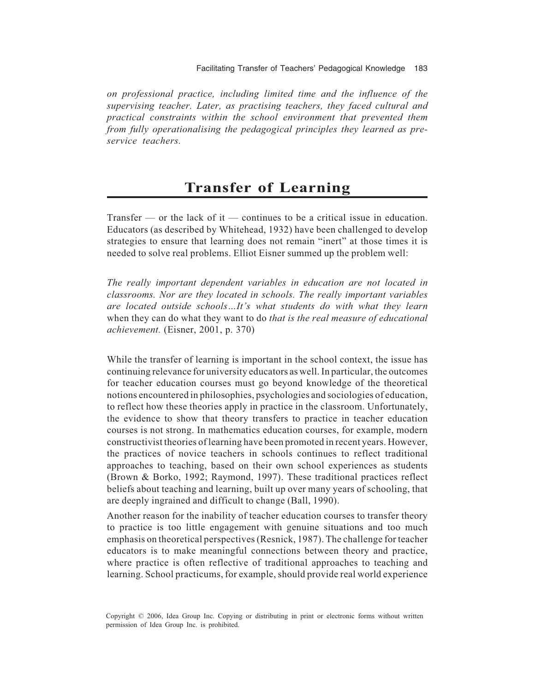*on professional practice, including limited time and the influence of the supervising teacher. Later, as practising teachers, they faced cultural and practical constraints within the school environment that prevented them from fully operationalising the pedagogical principles they learned as preservice teachers.*

# **Transfer of Learning**

Transfer — or the lack of it — continues to be a critical issue in education. Educators (as described by Whitehead, 1932) have been challenged to develop strategies to ensure that learning does not remain "inert" at those times it is needed to solve real problems. Elliot Eisner summed up the problem well:

*The really important dependent variables in education are not located in classrooms. Nor are they located in schools. The really important variables are located outside schools…It's what students do with what they learn* when they can do what they want to do *that is the real measure of educational achievement.* (Eisner, 2001, p. 370)

While the transfer of learning is important in the school context, the issue has continuing relevance for university educators as well. In particular, the outcomes for teacher education courses must go beyond knowledge of the theoretical notions encountered in philosophies, psychologies and sociologies of education, to reflect how these theories apply in practice in the classroom. Unfortunately, the evidence to show that theory transfers to practice in teacher education courses is not strong. In mathematics education courses, for example, modern constructivist theories of learning have been promoted in recent years. However, the practices of novice teachers in schools continues to reflect traditional approaches to teaching, based on their own school experiences as students (Brown & Borko, 1992; Raymond, 1997). These traditional practices reflect beliefs about teaching and learning, built up over many years of schooling, that are deeply ingrained and difficult to change (Ball, 1990).

Another reason for the inability of teacher education courses to transfer theory to practice is too little engagement with genuine situations and too much emphasis on theoretical perspectives (Resnick, 1987). The challenge for teacher educators is to make meaningful connections between theory and practice, where practice is often reflective of traditional approaches to teaching and learning. School practicums, for example, should provide real world experience

Copyright © 2006, Idea Group Inc. Copying or distributing in print or electronic forms without written permission of Idea Group Inc. is prohibited.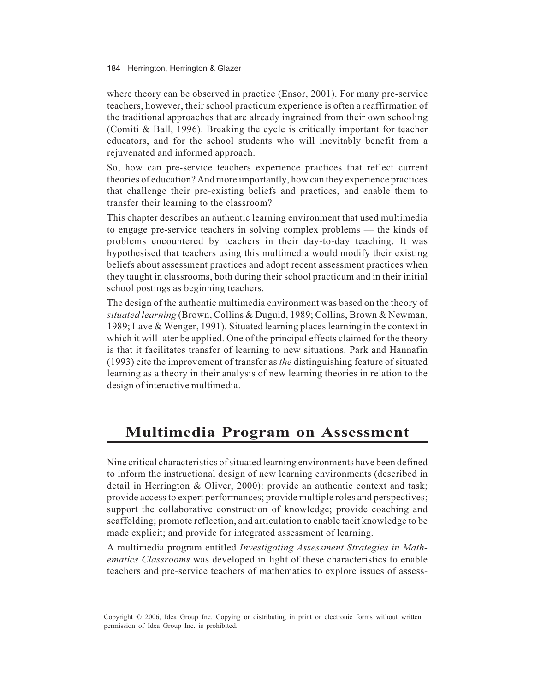#### 184 Herrington, Herrington & Glazer

where theory can be observed in practice (Ensor, 2001). For many pre-service teachers, however, their school practicum experience is often a reaffirmation of the traditional approaches that are already ingrained from their own schooling (Comiti & Ball, 1996). Breaking the cycle is critically important for teacher educators, and for the school students who will inevitably benefit from a rejuvenated and informed approach.

So, how can pre-service teachers experience practices that reflect current theories of education? And more importantly, how can they experience practices that challenge their pre-existing beliefs and practices, and enable them to transfer their learning to the classroom?

This chapter describes an authentic learning environment that used multimedia to engage pre-service teachers in solving complex problems — the kinds of problems encountered by teachers in their day-to-day teaching. It was hypothesised that teachers using this multimedia would modify their existing beliefs about assessment practices and adopt recent assessment practices when they taught in classrooms, both during their school practicum and in their initial school postings as beginning teachers.

The design of the authentic multimedia environment was based on the theory of *situated learning* (Brown, Collins & Duguid, 1989; Collins, Brown & Newman, 1989; Lave & Wenger, 1991)*.* Situated learning places learning in the context in which it will later be applied. One of the principal effects claimed for the theory is that it facilitates transfer of learning to new situations. Park and Hannafin (1993) cite the improvement of transfer as *the* distinguishing feature of situated learning as a theory in their analysis of new learning theories in relation to the design of interactive multimedia.

# **Multimedia Program on Assessment**

Nine critical characteristics of situated learning environments have been defined to inform the instructional design of new learning environments (described in detail in Herrington & Oliver, 2000): provide an authentic context and task; provide access to expert performances; provide multiple roles and perspectives; support the collaborative construction of knowledge; provide coaching and scaffolding; promote reflection, and articulation to enable tacit knowledge to be made explicit; and provide for integrated assessment of learning.

A multimedia program entitled *Investigating Assessment Strategies in Mathematics Classrooms* was developed in light of these characteristics to enable teachers and pre-service teachers of mathematics to explore issues of assess-

Copyright © 2006, Idea Group Inc. Copying or distributing in print or electronic forms without written permission of Idea Group Inc. is prohibited.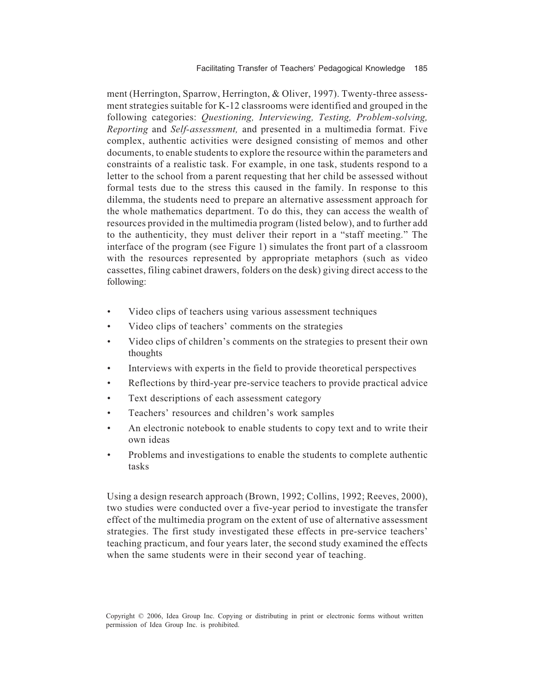ment (Herrington, Sparrow, Herrington, & Oliver, 1997). Twenty-three assessment strategies suitable for K-12 classrooms were identified and grouped in the following categories: *Questioning, Interviewing, Testing, Problem-solving, Reporting* and *Self-assessment,* and presented in a multimedia format. Five complex, authentic activities were designed consisting of memos and other documents, to enable students to explore the resource within the parameters and constraints of a realistic task. For example, in one task, students respond to a letter to the school from a parent requesting that her child be assessed without formal tests due to the stress this caused in the family. In response to this dilemma, the students need to prepare an alternative assessment approach for the whole mathematics department. To do this, they can access the wealth of resources provided in the multimedia program (listed below), and to further add to the authenticity, they must deliver their report in a "staff meeting." The interface of the program (see Figure 1) simulates the front part of a classroom with the resources represented by appropriate metaphors (such as video cassettes, filing cabinet drawers, folders on the desk) giving direct access to the following:

- Video clips of teachers using various assessment techniques
- Video clips of teachers' comments on the strategies
- Video clips of children's comments on the strategies to present their own thoughts
- Interviews with experts in the field to provide theoretical perspectives
- Reflections by third-year pre-service teachers to provide practical advice
- Text descriptions of each assessment category
- Teachers' resources and children's work samples
- An electronic notebook to enable students to copy text and to write their own ideas
- Problems and investigations to enable the students to complete authentic tasks

Using a design research approach (Brown, 1992; Collins, 1992; Reeves, 2000), two studies were conducted over a five-year period to investigate the transfer effect of the multimedia program on the extent of use of alternative assessment strategies. The first study investigated these effects in pre-service teachers' teaching practicum, and four years later, the second study examined the effects when the same students were in their second year of teaching.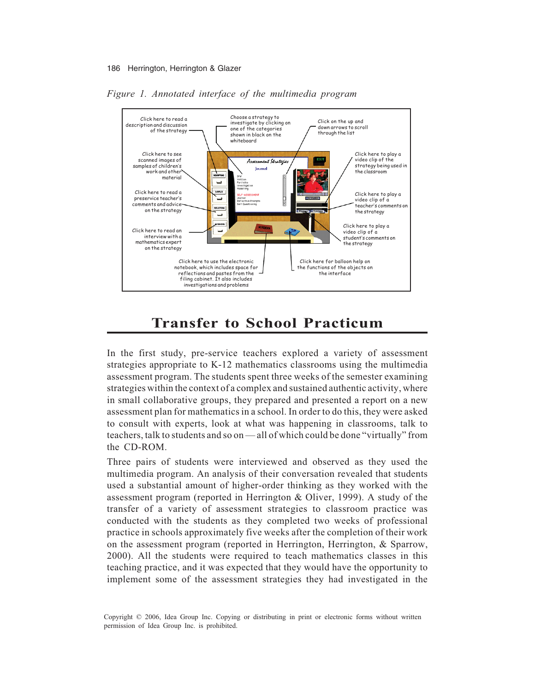#### 186 Herrington, Herrington & Glazer

*Figure 1. Annotated interface of the multimedia program*



## **Transfer to School Practicum**

In the first study, pre-service teachers explored a variety of assessment strategies appropriate to K-12 mathematics classrooms using the multimedia assessment program. The students spent three weeks of the semester examining strategies within the context of a complex and sustained authentic activity, where in small collaborative groups, they prepared and presented a report on a new assessment plan for mathematics in a school. In order to do this, they were asked to consult with experts, look at what was happening in classrooms, talk to teachers, talk to students and so on — all of which could be done "virtually" from the CD-ROM.

Three pairs of students were interviewed and observed as they used the multimedia program. An analysis of their conversation revealed that students used a substantial amount of higher-order thinking as they worked with the assessment program (reported in Herrington & Oliver, 1999). A study of the transfer of a variety of assessment strategies to classroom practice was conducted with the students as they completed two weeks of professional practice in schools approximately five weeks after the completion of their work on the assessment program (reported in Herrington, Herrington, & Sparrow, 2000). All the students were required to teach mathematics classes in this teaching practice, and it was expected that they would have the opportunity to implement some of the assessment strategies they had investigated in the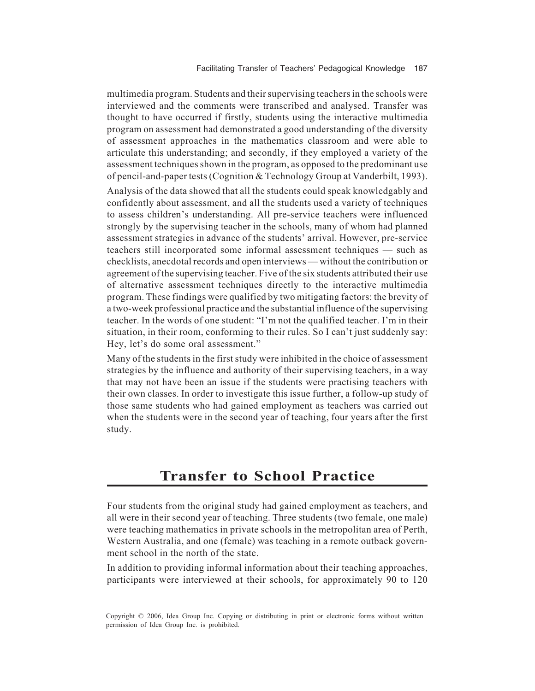multimedia program. Students and their supervising teachers in the schools were interviewed and the comments were transcribed and analysed. Transfer was thought to have occurred if firstly, students using the interactive multimedia program on assessment had demonstrated a good understanding of the diversity of assessment approaches in the mathematics classroom and were able to articulate this understanding; and secondly, if they employed a variety of the assessment techniques shown in the program, as opposed to the predominant use of pencil-and-paper tests (Cognition & Technology Group at Vanderbilt, 1993).

Analysis of the data showed that all the students could speak knowledgably and confidently about assessment, and all the students used a variety of techniques to assess children's understanding. All pre-service teachers were influenced strongly by the supervising teacher in the schools, many of whom had planned assessment strategies in advance of the students' arrival. However, pre-service teachers still incorporated some informal assessment techniques — such as checklists, anecdotal records and open interviews — without the contribution or agreement of the supervising teacher. Five of the six students attributed their use of alternative assessment techniques directly to the interactive multimedia program. These findings were qualified by two mitigating factors: the brevity of a two-week professional practice and the substantial influence of the supervising teacher. In the words of one student: "I'm not the qualified teacher. I'm in their situation, in their room, conforming to their rules. So I can't just suddenly say: Hey, let's do some oral assessment."

Many of the students in the first study were inhibited in the choice of assessment strategies by the influence and authority of their supervising teachers, in a way that may not have been an issue if the students were practising teachers with their own classes. In order to investigate this issue further, a follow-up study of those same students who had gained employment as teachers was carried out when the students were in the second year of teaching, four years after the first study.

## **Transfer to School Practice**

Four students from the original study had gained employment as teachers, and all were in their second year of teaching. Three students (two female, one male) were teaching mathematics in private schools in the metropolitan area of Perth, Western Australia, and one (female) was teaching in a remote outback government school in the north of the state.

In addition to providing informal information about their teaching approaches, participants were interviewed at their schools, for approximately 90 to 120

Copyright © 2006, Idea Group Inc. Copying or distributing in print or electronic forms without written permission of Idea Group Inc. is prohibited.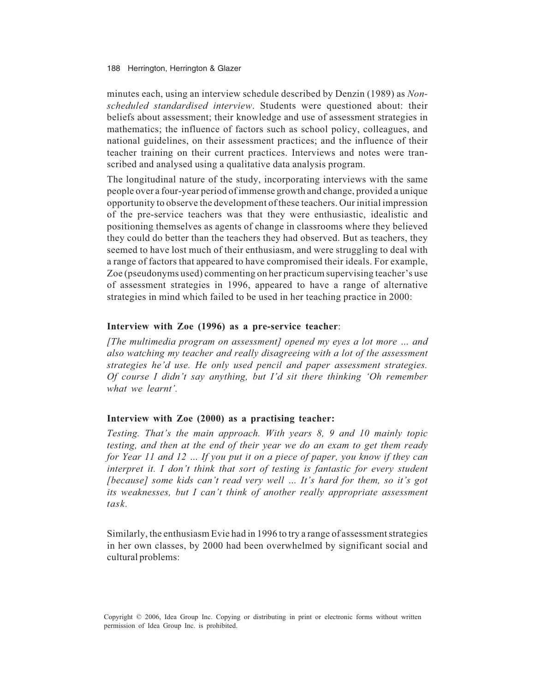#### 188 Herrington, Herrington & Glazer

minutes each, using an interview schedule described by Denzin (1989) as *Nonscheduled standardised interview*. Students were questioned about: their beliefs about assessment; their knowledge and use of assessment strategies in mathematics; the influence of factors such as school policy, colleagues, and national guidelines, on their assessment practices; and the influence of their teacher training on their current practices. Interviews and notes were transcribed and analysed using a qualitative data analysis program.

The longitudinal nature of the study, incorporating interviews with the same people over a four-year period of immense growth and change, provided a unique opportunity to observe the development of these teachers. Our initial impression of the pre-service teachers was that they were enthusiastic, idealistic and positioning themselves as agents of change in classrooms where they believed they could do better than the teachers they had observed. But as teachers, they seemed to have lost much of their enthusiasm, and were struggling to deal with a range of factors that appeared to have compromised their ideals. For example, Zoe (pseudonyms used) commenting on her practicum supervising teacher's use of assessment strategies in 1996, appeared to have a range of alternative strategies in mind which failed to be used in her teaching practice in 2000:

## **Interview with Zoe (1996) as a pre-service teacher**:

*[The multimedia program on assessment] opened my eyes a lot more … and also watching my teacher and really disagreeing with a lot of the assessment strategies he'd use. He only used pencil and paper assessment strategies. Of course I didn't say anything, but I'd sit there thinking 'Oh remember what we learnt'.*

## **Interview with Zoe (2000) as a practising teacher:**

*Testing. That's the main approach. With years 8, 9 and 10 mainly topic testing, and then at the end of their year we do an exam to get them ready for Year 11 and 12 … If you put it on a piece of paper, you know if they can interpret it. I don't think that sort of testing is fantastic for every student [because] some kids can't read very well … It's hard for them, so it's got its weaknesses, but I can't think of another really appropriate assessment task.*

Similarly, the enthusiasm Evie had in 1996 to try a range of assessment strategies in her own classes, by 2000 had been overwhelmed by significant social and cultural problems:

Copyright © 2006, Idea Group Inc. Copying or distributing in print or electronic forms without written permission of Idea Group Inc. is prohibited.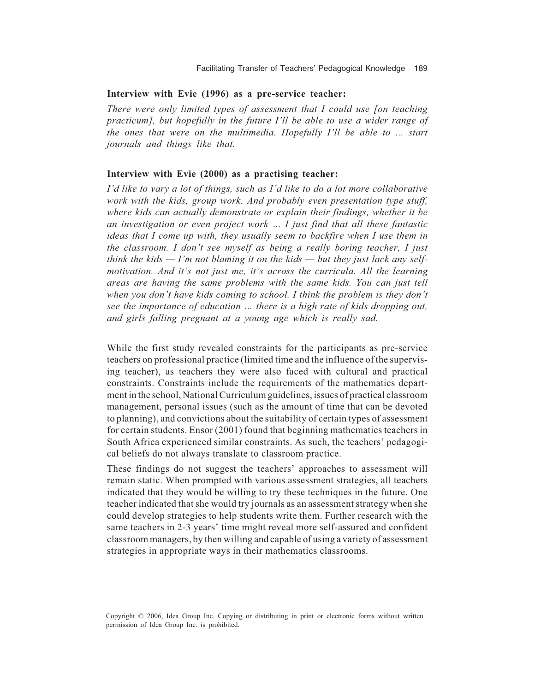## **Interview with Evie (1996) as a pre-service teacher:**

*There were only limited types of assessment that I could use [on teaching practicum], but hopefully in the future I'll be able to use a wider range of the ones that were on the multimedia. Hopefully I'll be able to ... start journals and things like that.*

### **Interview with Evie (2000) as a practising teacher:**

*I'd like to vary a lot of things, such as I'd like to do a lot more collaborative work with the kids, group work. And probably even presentation type stuff, where kids can actually demonstrate or explain their findings, whether it be an investigation or even project work … I just find that all these fantastic ideas that I come up with, they usually seem to backfire when I use them in the classroom. I don't see myself as being a really boring teacher, I just think the kids — I'm not blaming it on the kids — but they just lack any selfmotivation. And it's not just me, it's across the curricula. All the learning areas are having the same problems with the same kids. You can just tell when you don't have kids coming to school. I think the problem is they don't see the importance of education … there is a high rate of kids dropping out, and girls falling pregnant at a young age which is really sad.*

While the first study revealed constraints for the participants as pre-service teachers on professional practice (limited time and the influence of the supervising teacher), as teachers they were also faced with cultural and practical constraints. Constraints include the requirements of the mathematics department in the school, National Curriculum guidelines, issues of practical classroom management, personal issues (such as the amount of time that can be devoted to planning), and convictions about the suitability of certain types of assessment for certain students. Ensor (2001) found that beginning mathematics teachers in South Africa experienced similar constraints. As such, the teachers' pedagogical beliefs do not always translate to classroom practice.

These findings do not suggest the teachers' approaches to assessment will remain static. When prompted with various assessment strategies, all teachers indicated that they would be willing to try these techniques in the future. One teacher indicated that she would try journals as an assessment strategy when she could develop strategies to help students write them. Further research with the same teachers in 2-3 years' time might reveal more self-assured and confident classroom managers, by then willing and capable of using a variety of assessment strategies in appropriate ways in their mathematics classrooms.

Copyright © 2006, Idea Group Inc. Copying or distributing in print or electronic forms without written permission of Idea Group Inc. is prohibited.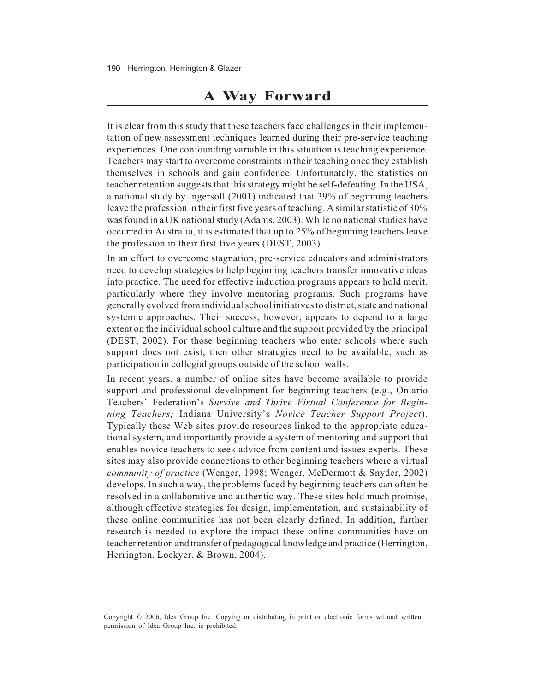# **A Way Forward**

It is clear from this study that these teachers face challenges in their implementation of new assessment techniques learned during their pre-service teaching experiences. One confounding variable in this situation is teaching experience. Teachers may start to overcome constraints in their teaching once they establish themselves in schools and gain confidence. Unfortunately, the statistics on teacher retention suggests that this strategy might be self-defeating. In the USA, a national study by Ingersoll (2001) indicated that 39% of beginning teachers leave the profession in their first five years of teaching. A similar statistic of 30% was found in a UK national study (Adams, 2003). While no national studies have occurred in Australia, it is estimated that up to 25% of beginning teachers leave the profession in their first five years (DEST, 2003).

In an effort to overcome stagnation, pre-service educators and administrators need to develop strategies to help beginning teachers transfer innovative ideas into practice. The need for effective induction programs appears to hold merit, particularly where they involve mentoring programs. Such programs have generally evolved from individual school initiatives to district, state and national systemic approaches. Their success, however, appears to depend to a large extent on the individual school culture and the support provided by the principal (DEST, 2002). For those beginning teachers who enter schools where such support does not exist, then other strategies need to be available, such as participation in collegial groups outside of the school walls.

In recent years, a number of online sites have become available to provide support and professional development for beginning teachers (e.g., Ontario Teachers' Federation's *Survive and Thrive Virtual Conference for Beginning Teachers;* Indiana University's *Novice Teacher Support Project*). Typically these Web sites provide resources linked to the appropriate educational system, and importantly provide a system of mentoring and support that enables novice teachers to seek advice from content and issues experts. These sites may also provide connections to other beginning teachers where a virtual *community of practice* (Wenger, 1998; Wenger, McDermott & Snyder, 2002) develops. In such a way, the problems faced by beginning teachers can often be resolved in a collaborative and authentic way. These sites hold much promise, although effective strategies for design, implementation, and sustainability of these online communities has not been clearly defined. In addition, further research is needed to explore the impact these online communities have on teacher retention and transfer of pedagogical knowledge and practice (Herrington, Herrington, Lockyer, & Brown, 2004).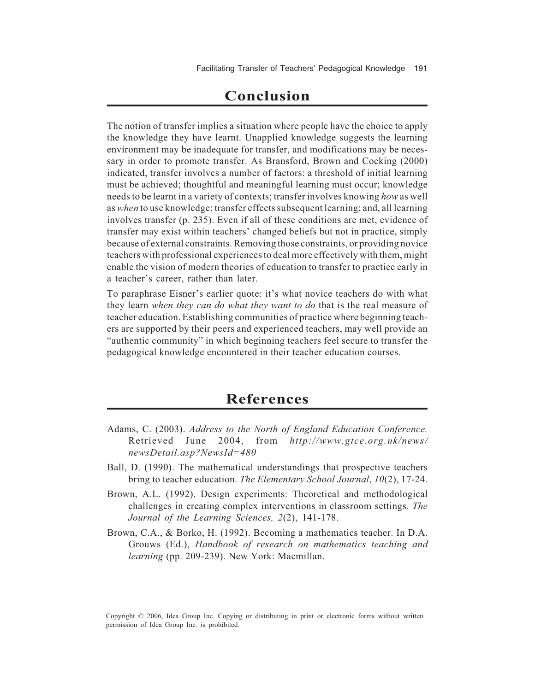## **Conclusion**

The notion of transfer implies a situation where people have the choice to apply the knowledge they have learnt. Unapplied knowledge suggests the learning environment may be inadequate for transfer, and modifications may be necessary in order to promote transfer. As Bransford, Brown and Cocking (2000) indicated, transfer involves a number of factors: a threshold of initial learning must be achieved; thoughtful and meaningful learning must occur; knowledge needs to be learnt in a variety of contexts; transfer involves knowing *how* as well as *when* to use knowledge; transfer effects subsequent learning; and, all learning involves transfer (p. 235). Even if all of these conditions are met, evidence of transfer may exist within teachers' changed beliefs but not in practice, simply because of external constraints. Removing those constraints, or providing novice teachers with professional experiences to deal more effectively with them, might enable the vision of modern theories of education to transfer to practice early in a teacher's career, rather than later.

To paraphrase Eisner's earlier quote: it's what novice teachers do with what they learn *when they can do what they want to do* that is the real measure of teacher education. Establishing communities of practice where beginning teachers are supported by their peers and experienced teachers, may well provide an "authentic community" in which beginning teachers feel secure to transfer the pedagogical knowledge encountered in their teacher education courses.

## **References**

- Adams, C. (2003). *Address to the North of England Education Conference.* Retrieved June 2004, from *http://www.gtce.org.uk/news/ newsDetail.asp?NewsId=480*
- Ball, D. (1990). The mathematical understandings that prospective teachers bring to teacher education. *The Elementary School Journal*, *10*(2), 17-24.
- Brown, A.L. (1992). Design experiments: Theoretical and methodological challenges in creating complex interventions in classroom settings. *The Journal of the Learning Sciences, 2*(2), 141-178.
- Brown, C.A., & Borko, H. (1992). Becoming a mathematics teacher. In D.A. Grouws (Ed.), *Handbook of research on mathematics teaching and learning* (pp. 209-239). New York: Macmillan.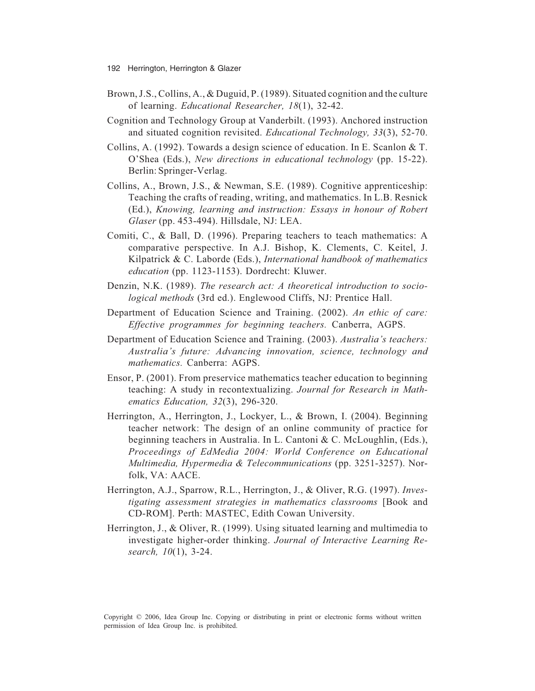- Brown, J.S., Collins, A., & Duguid, P. (1989). Situated cognition and the culture of learning. *Educational Researcher, 18*(1), 32-42.
- Cognition and Technology Group at Vanderbilt. (1993). Anchored instruction and situated cognition revisited. *Educational Technology, 33*(3), 52-70.
- Collins, A. (1992). Towards a design science of education. In E. Scanlon & T. O'Shea (Eds.), *New directions in educational technology* (pp. 15-22). Berlin: Springer-Verlag.
- Collins, A., Brown, J.S., & Newman, S.E. (1989). Cognitive apprenticeship: Teaching the crafts of reading, writing, and mathematics. In L.B. Resnick (Ed.), *Knowing, learning and instruction: Essays in honour of Robert Glaser* (pp. 453-494). Hillsdale, NJ: LEA.
- Comiti, C., & Ball, D. (1996). Preparing teachers to teach mathematics: A comparative perspective. In A.J. Bishop, K. Clements, C. Keitel, J. Kilpatrick & C. Laborde (Eds.), *International handbook of mathematics education* (pp. 1123-1153). Dordrecht: Kluwer.
- Denzin, N.K. (1989). *The research act: A theoretical introduction to sociological methods* (3rd ed.). Englewood Cliffs, NJ: Prentice Hall.
- Department of Education Science and Training. (2002). *An ethic of care: Effective programmes for beginning teachers.* Canberra, AGPS.
- Department of Education Science and Training. (2003). *Australia's teachers: Australia's future: Advancing innovation, science, technology and mathematics.* Canberra: AGPS.
- Ensor, P. (2001). From preservice mathematics teacher education to beginning teaching: A study in recontextualizing. *Journal for Research in Mathematics Education, 32*(3), 296-320.
- Herrington, A., Herrington, J., Lockyer, L., & Brown, I. (2004). Beginning teacher network: The design of an online community of practice for beginning teachers in Australia. In L. Cantoni & C. McLoughlin, (Eds.), *Proceedings of EdMedia 2004: World Conference on Educational Multimedia, Hypermedia & Telecommunications* (pp. 3251-3257). Norfolk, VA: AACE.
- Herrington, A.J., Sparrow, R.L., Herrington, J., & Oliver, R.G. (1997). *Investigating assessment strategies in mathematics classrooms* [Book and CD-ROM]. Perth: MASTEC, Edith Cowan University.
- Herrington, J., & Oliver, R. (1999). Using situated learning and multimedia to investigate higher-order thinking. *Journal of Interactive Learning Research, 10*(1), 3-24.